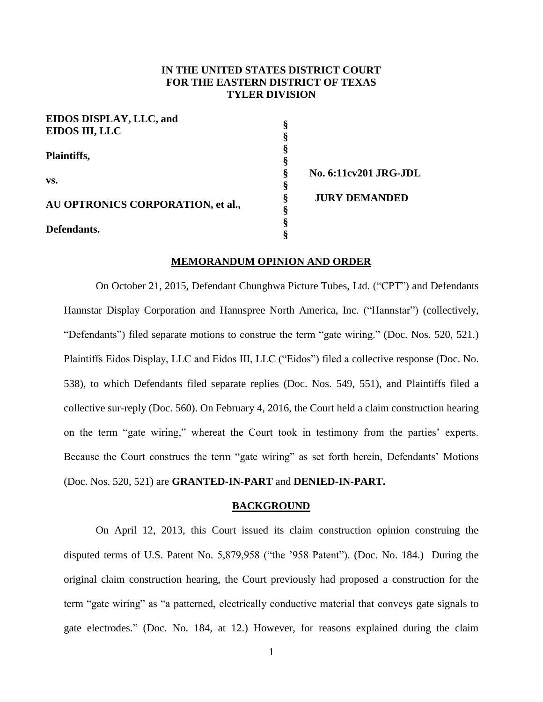## **IN THE UNITED STATES DISTRICT COURT FOR THE EASTERN DISTRICT OF TEXAS TYLER DIVISION**

| EIDOS DISPLAY, LLC, and           |                              |
|-----------------------------------|------------------------------|
| <b>EIDOS III, LLC</b>             |                              |
|                                   |                              |
| Plaintiffs,                       |                              |
|                                   |                              |
| VS.                               | <b>No. 6:11cv201 JRG-JDL</b> |
|                                   |                              |
|                                   | <b>JURY DEMANDED</b>         |
| AU OPTRONICS CORPORATION, et al., |                              |
|                                   |                              |
| Defendants.                       |                              |

### **MEMORANDUM OPINION AND ORDER**

On October 21, 2015, Defendant Chunghwa Picture Tubes, Ltd. ("CPT") and Defendants Hannstar Display Corporation and Hannspree North America, Inc. ("Hannstar") (collectively, "Defendants") filed separate motions to construe the term "gate wiring." (Doc. Nos. 520, 521.) Plaintiffs Eidos Display, LLC and Eidos III, LLC ("Eidos") filed a collective response (Doc. No. 538), to which Defendants filed separate replies (Doc. Nos. 549, 551), and Plaintiffs filed a collective sur-reply (Doc. 560). On February 4, 2016, the Court held a claim construction hearing on the term "gate wiring," whereat the Court took in testimony from the parties' experts. Because the Court construes the term "gate wiring" as set forth herein, Defendants' Motions (Doc. Nos. 520, 521) are **GRANTED-IN-PART** and **DENIED-IN-PART.** 

## **BACKGROUND**

On April 12, 2013, this Court issued its claim construction opinion construing the disputed terms of U.S. Patent No. 5,879,958 ("the '958 Patent"). (Doc. No. 184.) During the original claim construction hearing, the Court previously had proposed a construction for the term "gate wiring" as "a patterned, electrically conductive material that conveys gate signals to gate electrodes." (Doc. No. 184, at 12.) However, for reasons explained during the claim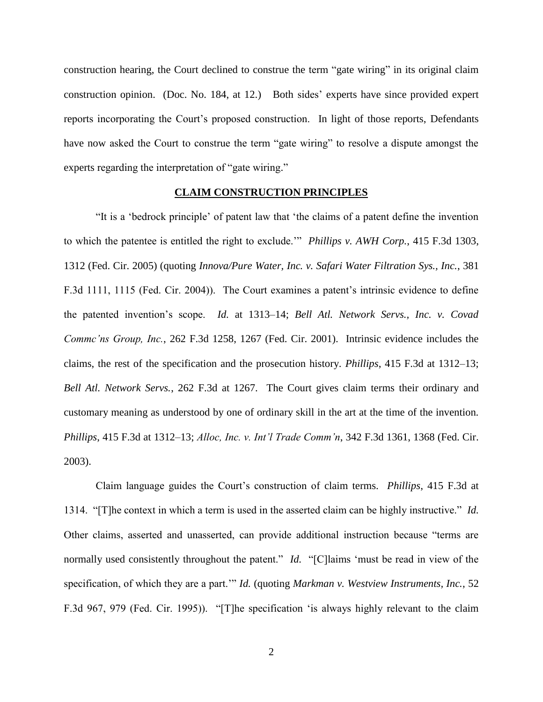construction hearing, the Court declined to construe the term "gate wiring" in its original claim construction opinion. (Doc. No. 184, at 12.) Both sides' experts have since provided expert reports incorporating the Court's proposed construction. In light of those reports, Defendants have now asked the Court to construe the term "gate wiring" to resolve a dispute amongst the experts regarding the interpretation of "gate wiring."

## **CLAIM CONSTRUCTION PRINCIPLES**

"It is a 'bedrock principle' of patent law that 'the claims of a patent define the invention to which the patentee is entitled the right to exclude.'" *Phillips v. AWH Corp.*, 415 F.3d 1303, 1312 (Fed. Cir. 2005) (quoting *Innova/Pure Water, Inc. v. Safari Water Filtration Sys., Inc.*, 381 F.3d 1111, 1115 (Fed. Cir. 2004)). The Court examines a patent's intrinsic evidence to define the patented invention's scope. *Id.* at 1313–14; *Bell Atl. Network Servs., Inc. v. Covad Commc'ns Group, Inc.*, 262 F.3d 1258, 1267 (Fed. Cir. 2001). Intrinsic evidence includes the claims, the rest of the specification and the prosecution history. *Phillips*, 415 F.3d at 1312–13; *Bell Atl. Network Servs.*, 262 F.3d at 1267. The Court gives claim terms their ordinary and customary meaning as understood by one of ordinary skill in the art at the time of the invention. *Phillips*, 415 F.3d at 1312–13; *Alloc, Inc. v. Int'l Trade Comm'n*, 342 F.3d 1361, 1368 (Fed. Cir. 2003).

Claim language guides the Court's construction of claim terms. *Phillips*, 415 F.3d at 1314. "[T]he context in which a term is used in the asserted claim can be highly instructive." *Id.* Other claims, asserted and unasserted, can provide additional instruction because "terms are normally used consistently throughout the patent." *Id.* "[C] laims 'must be read in view of the specification, of which they are a part.'" *Id.* (quoting *Markman v. Westview Instruments, Inc.*, 52 F.3d 967, 979 (Fed. Cir. 1995)). "[T]he specification 'is always highly relevant to the claim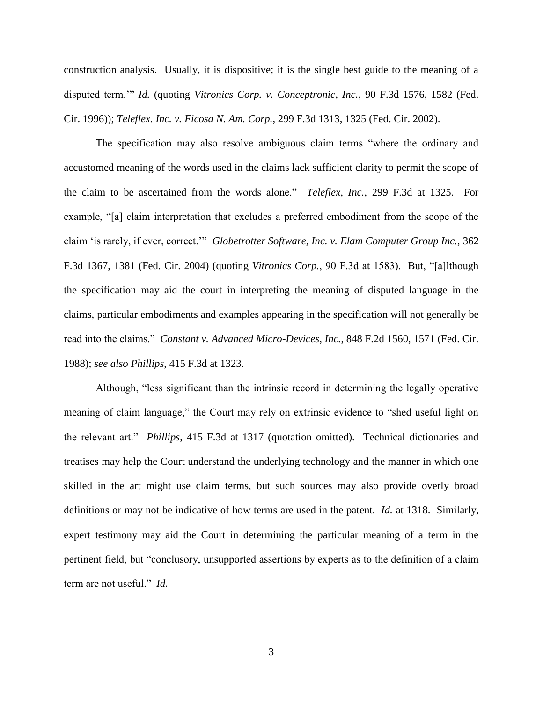construction analysis. Usually, it is dispositive; it is the single best guide to the meaning of a disputed term.'" *Id.* (quoting *Vitronics Corp. v. Conceptronic, Inc.*, 90 F.3d 1576, 1582 (Fed. Cir. 1996)); *Teleflex. Inc. v. Ficosa N. Am. Corp.*, 299 F.3d 1313, 1325 (Fed. Cir. 2002).

The specification may also resolve ambiguous claim terms "where the ordinary and accustomed meaning of the words used in the claims lack sufficient clarity to permit the scope of the claim to be ascertained from the words alone." *Teleflex, Inc.*, 299 F.3d at 1325. For example, "[a] claim interpretation that excludes a preferred embodiment from the scope of the claim 'is rarely, if ever, correct.'" *Globetrotter Software, Inc. v. Elam Computer Group Inc.*, 362 F.3d 1367, 1381 (Fed. Cir. 2004) (quoting *Vitronics Corp.*, 90 F.3d at 1583). But, "[a]lthough the specification may aid the court in interpreting the meaning of disputed language in the claims, particular embodiments and examples appearing in the specification will not generally be read into the claims." *Constant v. Advanced Micro-Devices, Inc.*, 848 F.2d 1560, 1571 (Fed. Cir. 1988); *see also Phillips*, 415 F.3d at 1323.

Although, "less significant than the intrinsic record in determining the legally operative meaning of claim language," the Court may rely on extrinsic evidence to "shed useful light on the relevant art." *Phillips*, 415 F.3d at 1317 (quotation omitted). Technical dictionaries and treatises may help the Court understand the underlying technology and the manner in which one skilled in the art might use claim terms, but such sources may also provide overly broad definitions or may not be indicative of how terms are used in the patent. *Id.* at 1318. Similarly, expert testimony may aid the Court in determining the particular meaning of a term in the pertinent field, but "conclusory, unsupported assertions by experts as to the definition of a claim term are not useful." *Id.*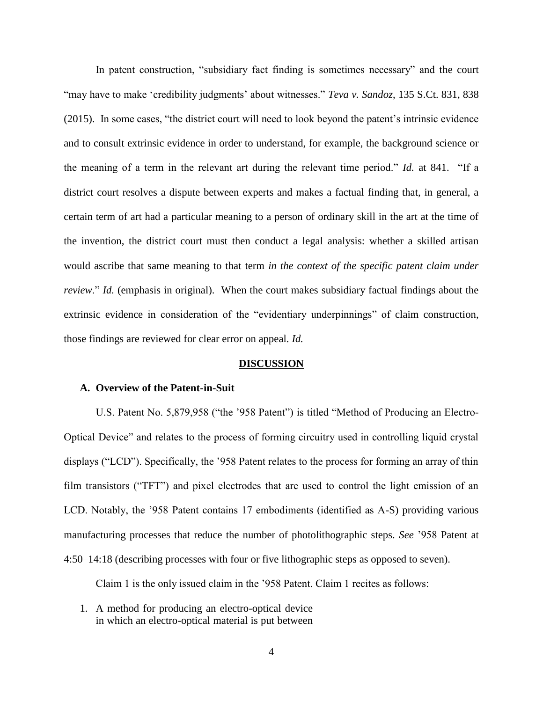In patent construction, "subsidiary fact finding is sometimes necessary" and the court "may have to make 'credibility judgments' about witnesses." *Teva v. Sandoz*, 135 S.Ct. 831, 838 (2015). In some cases, "the district court will need to look beyond the patent's intrinsic evidence and to consult extrinsic evidence in order to understand, for example, the background science or the meaning of a term in the relevant art during the relevant time period." *Id.* at 841. "If a district court resolves a dispute between experts and makes a factual finding that, in general, a certain term of art had a particular meaning to a person of ordinary skill in the art at the time of the invention, the district court must then conduct a legal analysis: whether a skilled artisan would ascribe that same meaning to that term *in the context of the specific patent claim under review*." *Id.* (emphasis in original). When the court makes subsidiary factual findings about the extrinsic evidence in consideration of the "evidentiary underpinnings" of claim construction, those findings are reviewed for clear error on appeal. *Id.*

### **DISCUSSION**

## **A. Overview of the Patent-in-Suit**

U.S. Patent No. 5,879,958 ("the '958 Patent") is titled "Method of Producing an Electro-Optical Device" and relates to the process of forming circuitry used in controlling liquid crystal displays ("LCD"). Specifically, the '958 Patent relates to the process for forming an array of thin film transistors ("TFT") and pixel electrodes that are used to control the light emission of an LCD. Notably, the '958 Patent contains 17 embodiments (identified as A-S) providing various manufacturing processes that reduce the number of photolithographic steps. *See* '958 Patent at 4:50–14:18 (describing processes with four or five lithographic steps as opposed to seven).

Claim 1 is the only issued claim in the '958 Patent. Claim 1 recites as follows:

1. A method for producing an electro-optical device in which an electro-optical material is put between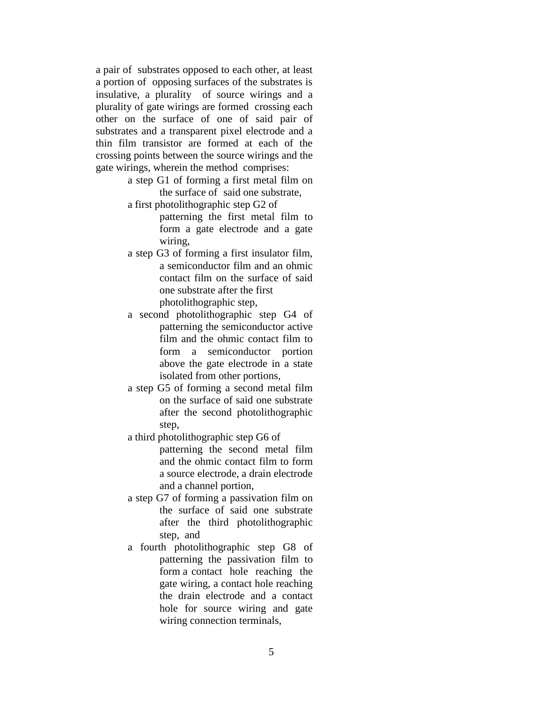a pair of substrates opposed to each other, at least a portion of opposing surfaces of the substrates is insulative, a plurality of source wirings and a plurality of gate wirings are formed crossing each other on the surface of one of said pair of substrates and a transparent pixel electrode and a thin film transistor are formed at each of the crossing points between the source wirings and the gate wirings, wherein the method comprises:

- a step G1 of forming a first metal film on the surface of said one substrate,
- a first photolithographic step G2 of patterning the first metal film to form a gate electrode and a gate wiring,
- a step G3 of forming a first insulator film, a semiconductor film and an ohmic contact film on the surface of said one substrate after the first photolithographic step,
- a second photolithographic step G4 of patterning the semiconductor active film and the ohmic contact film to form a semiconductor portion above the gate electrode in a state isolated from other portions,
- a step G5 of forming a second metal film on the surface of said one substrate after the second photolithographic step,
- a third photolithographic step G6 of patterning the second metal film and the ohmic contact film to form a source electrode, a drain electrode and a channel portion,
- a step G7 of forming a passivation film on the surface of said one substrate after the third photolithographic step, and
- a fourth photolithographic step G8 of patterning the passivation film to form a contact hole reaching the gate wiring, a contact hole reaching the drain electrode and a contact hole for source wiring and gate wiring connection terminals,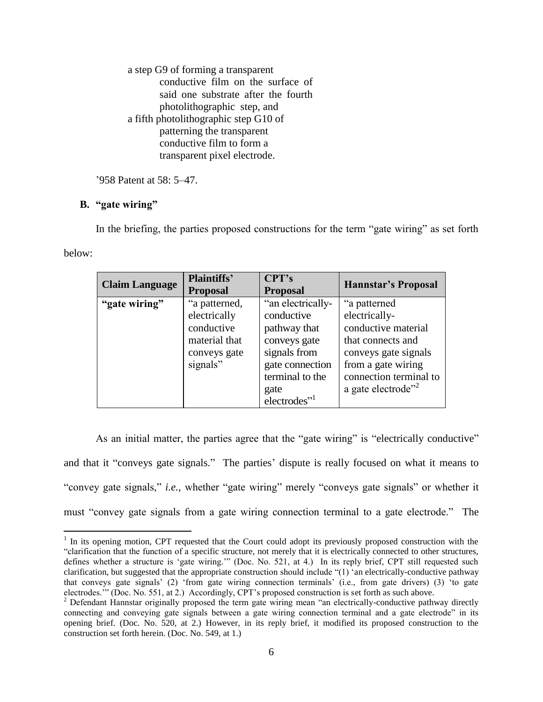a step G9 of forming a transparent conductive film on the surface of said one substrate after the fourth photolithographic step, and a fifth photolithographic step G10 of patterning the transparent conductive film to form a transparent pixel electrode.

'958 Patent at 58: 5–47.

# **B. "gate wiring"**

 $\overline{a}$ 

In the briefing, the parties proposed constructions for the term "gate wiring" as set forth below:

| <b>Claim Language</b> | <b>Plaintiffs'</b><br><b>Proposal</b>                                                    | CPT's<br><b>Proposal</b>                                                                                                                                  | <b>Hannstar's Proposal</b>                                                                                                                                                          |
|-----------------------|------------------------------------------------------------------------------------------|-----------------------------------------------------------------------------------------------------------------------------------------------------------|-------------------------------------------------------------------------------------------------------------------------------------------------------------------------------------|
| "gate wiring"         | "a patterned,<br>electrically<br>conductive<br>material that<br>conveys gate<br>signals" | "an electrically-<br>conductive<br>pathway that<br>conveys gate<br>signals from<br>gate connection<br>terminal to the<br>gate<br>electrodes" <sup>1</sup> | "a patterned<br>electrically-<br>conductive material<br>that connects and<br>conveys gate signals<br>from a gate wiring<br>connection terminal to<br>a gate electrode" <sup>2</sup> |

As an initial matter, the parties agree that the "gate wiring" is "electrically conductive" and that it "conveys gate signals." The parties' dispute is really focused on what it means to "convey gate signals," *i.e.,* whether "gate wiring" merely "conveys gate signals" or whether it must "convey gate signals from a gate wiring connection terminal to a gate electrode." The

 $1$  In its opening motion, CPT requested that the Court could adopt its previously proposed construction with the "clarification that the function of a specific structure, not merely that it is electrically connected to other structures, defines whether a structure is 'gate wiring.'" (Doc. No. 521, at 4.) In its reply brief, CPT still requested such clarification, but suggested that the appropriate construction should include "(1) 'an electrically-conductive pathway that conveys gate signals' (2) 'from gate wiring connection terminals' (i.e., from gate drivers) (3) 'to gate electrodes.'" (Doc. No. 551, at 2.) Accordingly, CPT's proposed construction is set forth as such above.

<sup>&</sup>lt;sup>2</sup> Defendant Hannstar originally proposed the term gate wiring mean "an electrically-conductive pathway directly connecting and conveying gate signals between a gate wiring connection terminal and a gate electrode" in its opening brief. (Doc. No. 520, at 2.) However, in its reply brief, it modified its proposed construction to the construction set forth herein. (Doc. No. 549, at 1.)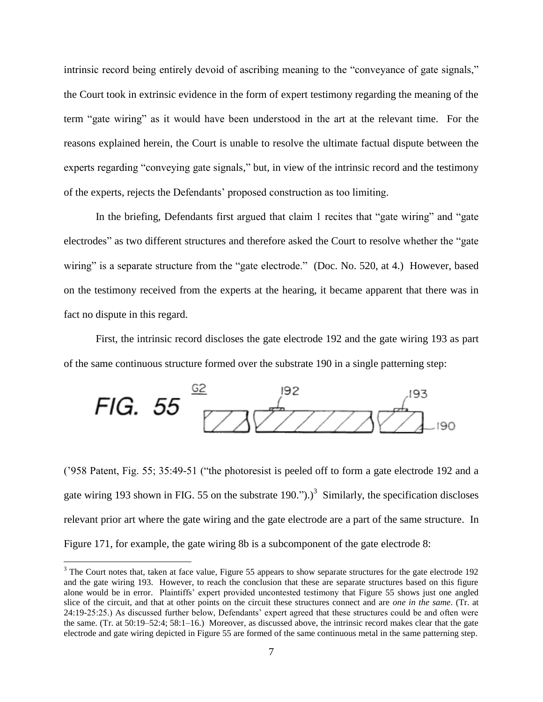intrinsic record being entirely devoid of ascribing meaning to the "conveyance of gate signals," the Court took in extrinsic evidence in the form of expert testimony regarding the meaning of the term "gate wiring" as it would have been understood in the art at the relevant time. For the reasons explained herein, the Court is unable to resolve the ultimate factual dispute between the experts regarding "conveying gate signals," but, in view of the intrinsic record and the testimony of the experts, rejects the Defendants' proposed construction as too limiting.

In the briefing, Defendants first argued that claim 1 recites that "gate wiring" and "gate electrodes" as two different structures and therefore asked the Court to resolve whether the "gate wiring" is a separate structure from the "gate electrode." (Doc. No. 520, at 4.) However, based on the testimony received from the experts at the hearing, it became apparent that there was in fact no dispute in this regard.

First, the intrinsic record discloses the gate electrode 192 and the gate wiring 193 as part of the same continuous structure formed over the substrate 190 in a single patterning step:



('958 Patent, Fig. 55; 35:49-51 ("the photoresist is peeled off to form a gate electrode 192 and a gate wiring 193 shown in FIG. 55 on the substrate 190.").)<sup>3</sup> Similarly, the specification discloses relevant prior art where the gate wiring and the gate electrode are a part of the same structure. In Figure 171, for example, the gate wiring 8b is a subcomponent of the gate electrode 8:

 $\overline{a}$ 

<sup>&</sup>lt;sup>3</sup> The Court notes that, taken at face value, Figure 55 appears to show separate structures for the gate electrode 192 and the gate wiring 193. However, to reach the conclusion that these are separate structures based on this figure alone would be in error. Plaintiffs' expert provided uncontested testimony that Figure 55 shows just one angled slice of the circuit, and that at other points on the circuit these structures connect and are *one in the same*. (Tr. at 24:19-25:25.) As discussed further below, Defendants' expert agreed that these structures could be and often were the same. (Tr. at 50:19–52:4; 58:1–16.) Moreover, as discussed above, the intrinsic record makes clear that the gate electrode and gate wiring depicted in Figure 55 are formed of the same continuous metal in the same patterning step.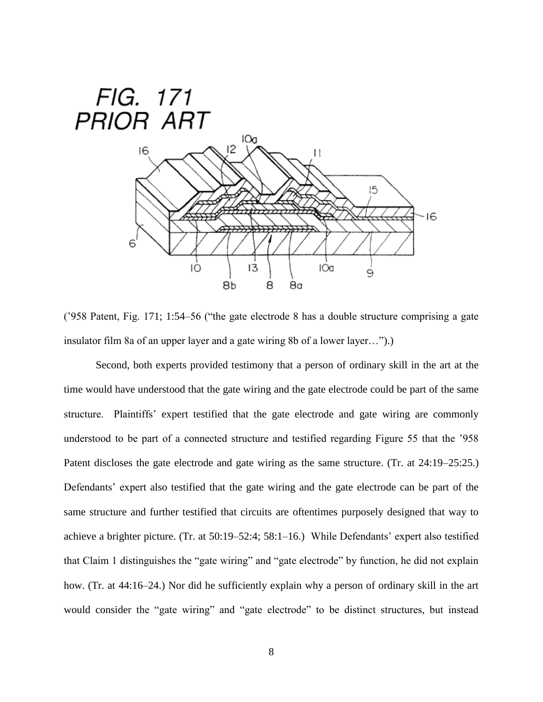

('958 Patent, Fig. 171; 1:54–56 ("the gate electrode 8 has a double structure comprising a gate insulator film 8a of an upper layer and a gate wiring 8b of a lower layer…").)

Second, both experts provided testimony that a person of ordinary skill in the art at the time would have understood that the gate wiring and the gate electrode could be part of the same structure. Plaintiffs' expert testified that the gate electrode and gate wiring are commonly understood to be part of a connected structure and testified regarding Figure 55 that the '958 Patent discloses the gate electrode and gate wiring as the same structure. (Tr. at 24:19–25:25.) Defendants' expert also testified that the gate wiring and the gate electrode can be part of the same structure and further testified that circuits are oftentimes purposely designed that way to achieve a brighter picture. (Tr. at 50:19–52:4; 58:1–16.) While Defendants' expert also testified that Claim 1 distinguishes the "gate wiring" and "gate electrode" by function, he did not explain how. (Tr. at 44:16–24.) Nor did he sufficiently explain why a person of ordinary skill in the art would consider the "gate wiring" and "gate electrode" to be distinct structures, but instead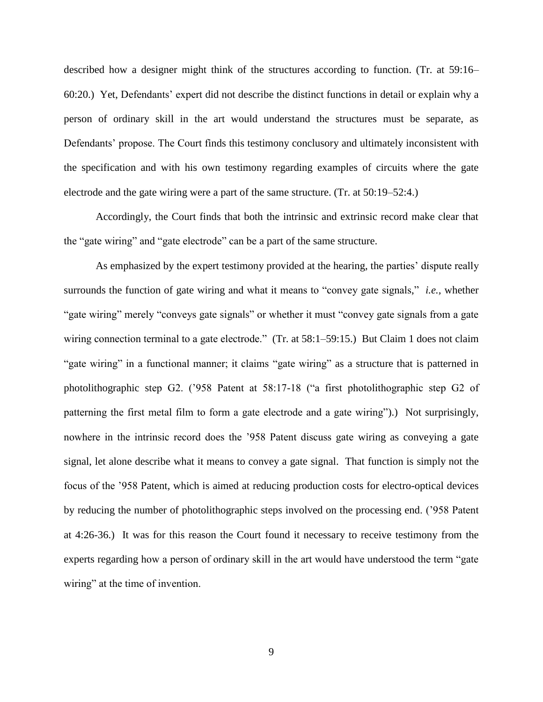described how a designer might think of the structures according to function. (Tr. at 59:16– 60:20.) Yet, Defendants' expert did not describe the distinct functions in detail or explain why a person of ordinary skill in the art would understand the structures must be separate, as Defendants' propose. The Court finds this testimony conclusory and ultimately inconsistent with the specification and with his own testimony regarding examples of circuits where the gate electrode and the gate wiring were a part of the same structure. (Tr. at 50:19–52:4.)

Accordingly, the Court finds that both the intrinsic and extrinsic record make clear that the "gate wiring" and "gate electrode" can be a part of the same structure.

As emphasized by the expert testimony provided at the hearing, the parties' dispute really surrounds the function of gate wiring and what it means to "convey gate signals," *i.e.,* whether "gate wiring" merely "conveys gate signals" or whether it must "convey gate signals from a gate wiring connection terminal to a gate electrode." (Tr. at 58:1–59:15.) But Claim 1 does not claim "gate wiring" in a functional manner; it claims "gate wiring" as a structure that is patterned in photolithographic step G2. ('958 Patent at 58:17-18 ("a first photolithographic step G2 of patterning the first metal film to form a gate electrode and a gate wiring").) Not surprisingly, nowhere in the intrinsic record does the '958 Patent discuss gate wiring as conveying a gate signal, let alone describe what it means to convey a gate signal. That function is simply not the focus of the '958 Patent, which is aimed at reducing production costs for electro-optical devices by reducing the number of photolithographic steps involved on the processing end. ('958 Patent at 4:26-36.) It was for this reason the Court found it necessary to receive testimony from the experts regarding how a person of ordinary skill in the art would have understood the term "gate wiring" at the time of invention.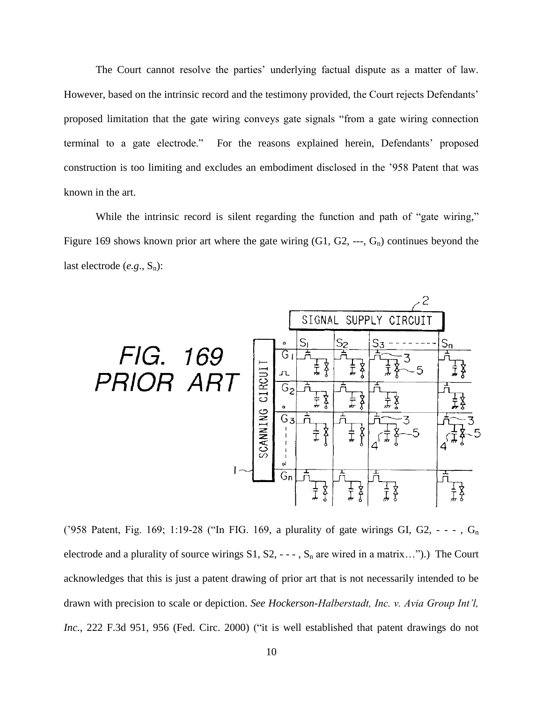The Court cannot resolve the parties' underlying factual dispute as a matter of law. However, based on the intrinsic record and the testimony provided, the Court rejects Defendants' proposed limitation that the gate wiring conveys gate signals "from a gate wiring connection terminal to a gate electrode." For the reasons explained herein, Defendants' proposed construction is too limiting and excludes an embodiment disclosed in the '958 Patent that was known in the art.

While the intrinsic record is silent regarding the function and path of "gate wiring," Figure 169 shows known prior art where the gate wiring  $(G1, G2, --, G<sub>n</sub>)$  continues beyond the last electrode (*e.g.*, S<sub>n</sub>):



('958 Patent, Fig. 169; 1:19-28 ("In FIG. 169, a plurality of gate wirings GI, G2,  $- -$ , G<sub>n</sub> electrode and a plurality of source wirings  $S1, S2, --$ ,  $S_n$  are wired in a matrix...").) The Court acknowledges that this is just a patent drawing of prior art that is not necessarily intended to be drawn with precision to scale or depiction. *See Hockerson-Halberstadt, Inc. v. Avia Group Int'l,*  Inc., 222 F.3d 951, 956 (Fed. Circ. 2000) ("it is well established that patent drawings do not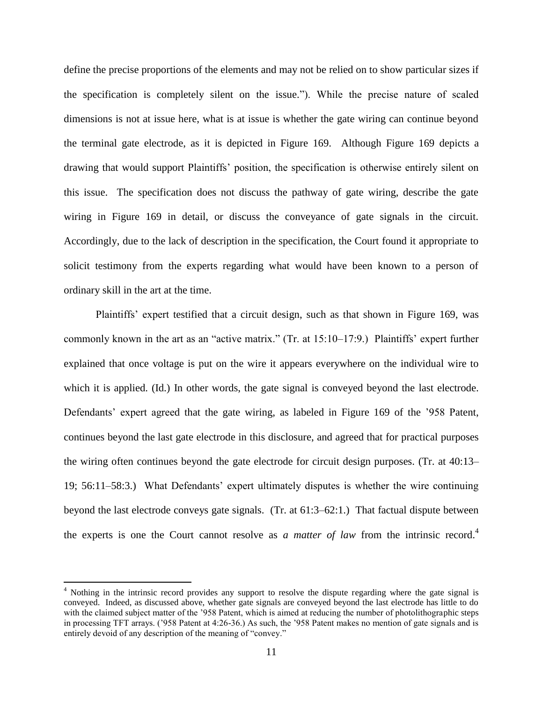define the precise proportions of the elements and may not be relied on to show particular sizes if the specification is completely silent on the issue."). While the precise nature of scaled dimensions is not at issue here, what is at issue is whether the gate wiring can continue beyond the terminal gate electrode, as it is depicted in Figure 169. Although Figure 169 depicts a drawing that would support Plaintiffs' position, the specification is otherwise entirely silent on this issue. The specification does not discuss the pathway of gate wiring, describe the gate wiring in Figure 169 in detail, or discuss the conveyance of gate signals in the circuit. Accordingly, due to the lack of description in the specification, the Court found it appropriate to solicit testimony from the experts regarding what would have been known to a person of ordinary skill in the art at the time.

Plaintiffs' expert testified that a circuit design, such as that shown in Figure 169, was commonly known in the art as an "active matrix." (Tr. at 15:10–17:9.) Plaintiffs' expert further explained that once voltage is put on the wire it appears everywhere on the individual wire to which it is applied. (Id.) In other words, the gate signal is conveyed beyond the last electrode. Defendants' expert agreed that the gate wiring, as labeled in Figure 169 of the '958 Patent, continues beyond the last gate electrode in this disclosure, and agreed that for practical purposes the wiring often continues beyond the gate electrode for circuit design purposes. (Tr. at 40:13– 19; 56:11–58:3.) What Defendants' expert ultimately disputes is whether the wire continuing beyond the last electrode conveys gate signals. (Tr. at 61:3–62:1.) That factual dispute between the experts is one the Court cannot resolve as *a matter of law* from the intrinsic record.<sup>4</sup>

 $\overline{a}$ 

<sup>&</sup>lt;sup>4</sup> Nothing in the intrinsic record provides any support to resolve the dispute regarding where the gate signal is conveyed. Indeed, as discussed above, whether gate signals are conveyed beyond the last electrode has little to do with the claimed subject matter of the '958 Patent, which is aimed at reducing the number of photolithographic steps in processing TFT arrays. ('958 Patent at 4:26-36.) As such, the '958 Patent makes no mention of gate signals and is entirely devoid of any description of the meaning of "convey."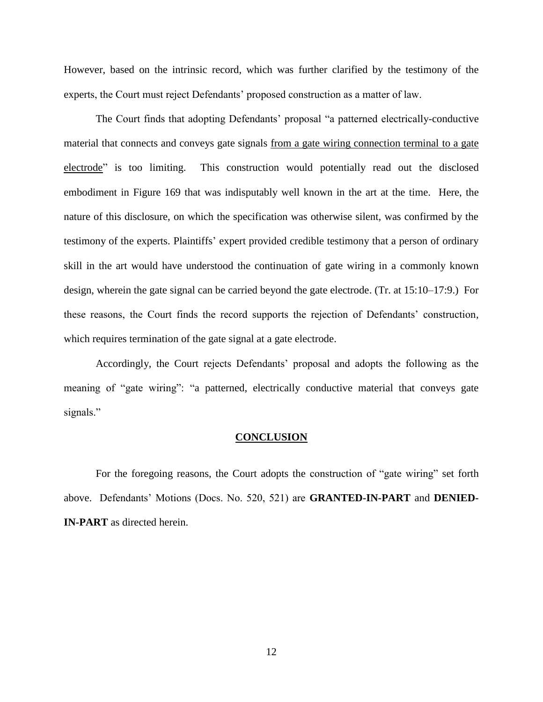However, based on the intrinsic record, which was further clarified by the testimony of the experts, the Court must reject Defendants' proposed construction as a matter of law.

The Court finds that adopting Defendants' proposal "a patterned electrically-conductive material that connects and conveys gate signals from a gate wiring connection terminal to a gate electrode" is too limiting. This construction would potentially read out the disclosed embodiment in Figure 169 that was indisputably well known in the art at the time. Here, the nature of this disclosure, on which the specification was otherwise silent, was confirmed by the testimony of the experts. Plaintiffs' expert provided credible testimony that a person of ordinary skill in the art would have understood the continuation of gate wiring in a commonly known design, wherein the gate signal can be carried beyond the gate electrode. (Tr. at 15:10–17:9.) For these reasons, the Court finds the record supports the rejection of Defendants' construction, which requires termination of the gate signal at a gate electrode.

Accordingly, the Court rejects Defendants' proposal and adopts the following as the meaning of "gate wiring": "a patterned, electrically conductive material that conveys gate signals."

#### **CONCLUSION**

For the foregoing reasons, the Court adopts the construction of "gate wiring" set forth above. Defendants' Motions (Docs. No. 520, 521) are **GRANTED-IN-PART** and **DENIED-IN-PART** as directed herein.